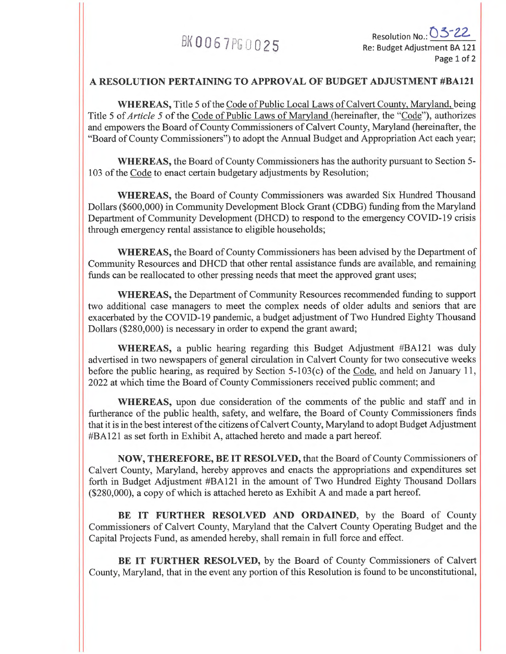# BK0067PG0025

## **A RESOLUTION PERTAINING TO APPROVAL OF BUDGET ADJUSTMENT #BA121**

**WHEREAS,** Title 5 of the Code of Public Local Laws of Calvert County, Maryland, being Title 5 of *Article 5* of the Code of Public Laws of Maryland (hereinafter, the "Code"), authorizes and empowers the Board of County Commissioners of Calvert County, Maryland (hereinafter, the "Board of County Commissioners") to adopt the Annual Budget and Appropriation Act each year;

**WHEREAS,** the Board of County Commissioners has the authority pursuant to Section 5- 103 of the Code to enact certain budgetary adjustments by Resolution;

**WHEREAS,** the Board of County Commissioners was awarded Six Hundred Thousand Dollars (\$600,000) in Community Development Block Grant (CDBG) funding from the Maryland Department of Community Development (DHCD) to respond to the emergency COVID-19 crisis through emergency rental assistance to eligible households;

**WHEREAS,** the Board of County Commissioners has been advised by the Department of Community Resources and DHCD that other rental assistance funds are available, and remaining funds can be reallocated to other pressing needs that meet the approved grant uses;

**WHEREAS,** the Department of Community Resources recommended funding to support two additional case managers to meet the complex needs of older adults and seniors that are exacerbated by the COVID-19 pandemic, a budget adjustment of Two Hundred Eighty Thousand Dollars (\$280,000) is necessary in order to expend the grant award;

**WHEREAS,** a public hearing regarding this Budget Adjustment #BA121 was duly advertised in two newspapers of general circulation in Calvert County for two consecutive weeks before the public hearing, as required by Section 5-103(c) of the Code, and held on January 11, 2022 at which time the Board of County Commissioners received public comment; and

**WHEREAS,** upon due consideration of the comments of the public and staff and in furtherance of the public health, safety, and welfare, the Board of County Commissioners finds that it is in the best interest of the citizens of Calvert County, Maryland to adopt Budget Adjustment #BA121 as set forth in Exhibit A, attached hereto and made a part hereof.

**NOW, THEREFORE, BE IT RESOLVED,** that the Board of County Commissioners of Calvert County, Maryland, hereby approves and enacts the appropriations and expenditures set forth in Budget Adjustment #BA121 in the amount of Two Hundred Eighty Thousand Dollars (\$280,000), a copy of which is attached hereto as Exhibit A and made a part hereof.

BE IT FURTHER RESOLVED AND ORDAINED, by the Board of County Commissioners of Calvert County, Maryland that the Calvert County Operating Budget and the Capital Projects Fund, as amended hereby, shall remain in full force and effect.

**BE IT FURTHER RESOLVED,** by the Board of County Commissioners of Calvert County, Maryland, that in the event any portion of this Resolution is found to be unconstitutional,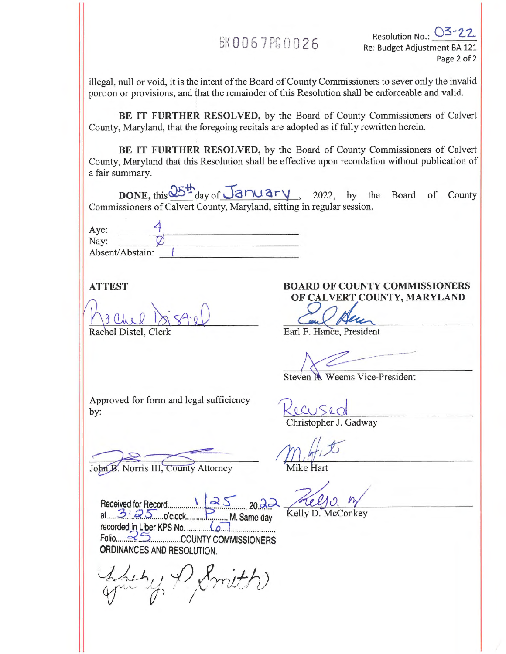## BK0067PG0026

Resolution No.: 03-22 Re: Budget Adjustment BA 121 Page 2 of 2

illegal, null or void, it is the intent of the Board of County Commissioners to sever only the invalid portion or provisions, and that the remainder of this Resolution shall be enforceable and valid.

**BE IT FURTHER RESOLVED,** by the Board of County Commissioners of Calvert County, Maryland, that the foregoing recitals are adopted as if fully rewritten herein.

**BE IT FURTHER RESOLVED,** by the Board of County Commissioners of Calvert County, Maryland that this Resolution shall be effective upon recordation without publication of a fair summary.

**DONE,** this  $\frac{25^{th}}{s}$  day of  $\frac{1}{20}$   $\frac{1}{20}$   $\frac{1}{2022}$ , by the Board of County Commissioners of Calvert County, Maryland, sitting in regular session.

| Aye:<br>Nay:    |  |
|-----------------|--|
| Absent/Abstain: |  |

a Rachel Distel, Clerk Earl F. Hance, President

## **ATTEST BOARD OF COUNTY COMMISSIONERS OF CALVERT COUNTY, MARYLAND**

Steven R. Weems Vice-President

Approved for form and legal sufficiency by: Kecused Christopher J. Gadway

John B. Norris III, County Attorney

at 3:25 o'clock M. Same day Kelly D. McConkey Received for Record  $\frac{1}{2}$  ,  $35$  ,  $20.23$ recorded in Liber KIPS No. (.11 Folio 2 5 COUNTY COMMISSIONERS ORDINANCES AND RESOLUTION.

(P. Smith)

Mike Hart